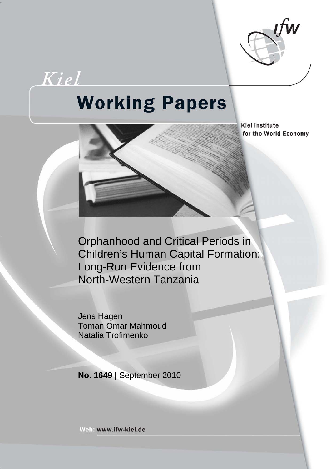

Kiel

# **Working Papers**

**Kiel Institute** for the World Economy

Orphanhood and Critical Periods in Children's Human Capital Formation: Long-Run Evidence from North-Western Tanzania

Jens Hagen Toman Omar Mahmoud Natalia Trofimenko

**No. 1649 |** September 2010

Web: www.ifw-kiel.de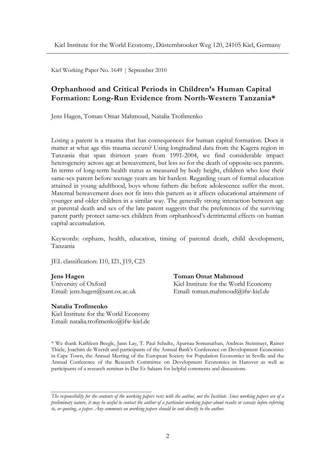Kiel Working Paper No. 1649 | September 2010

# **Orphanhood and Critical Periods in Children's Human Capital Formation: Long-Run Evidence from North-Western Tanzania\***

Jens Hagen, Toman Omar Mahmoud, Natalia Trofimenko

Losing a parent is a trauma that has consequences for human capital formation. Does it matter at what age this trauma occurs? Using longitudinal data from the Kagera region in Tanzania that span thirteen years from 1991-2004, we find considerable impact heterogeneity across age at bereavement, but less so for the death of opposite-sex parents. In terms of long-term health status as measured by body height, children who lose their same-sex parent before teenage years are hit hardest. Regarding years of formal education attained in young adulthood, boys whose fathers die before adolescence suffer the most. Maternal bereavement does not fit into this pattern as it affects educational attainment of younger and older children in a similar way. The generally strong interaction between age at parental death and sex of the late parent suggests that the preferences of the surviving parent partly protect same-sex children from orphanhood's detrimental effects on human capital accumulation.

Keywords: orphans, health, education, timing of parental death, child development, Tanzania

JEL classification: I10, I21, J19, C23

University of Oxford Kiel Institute for the World Economy

#### **Natalia Trofimenko**

Kiel Institute for the World Economy Email: natalia.trofimenko@ifw-kiel.de

*\_\_\_\_\_\_\_\_\_\_\_\_\_\_\_\_\_\_\_\_\_\_\_\_\_\_\_\_\_\_\_\_\_\_\_\_* 

**Jens Hagen Toman Omar Mahmoud** 

Email: jens.hagen@sant.ox.ac.uk Email: toman.mahmoud@ifw-kiel.de

\* We thank Kathleen Beegle, Jann Lay, T. Paul Schultz, Aparnaa Somanathan, Andreas Steinmayr, Rainer Thiele, Joachim de Weerdt and participants of the Annual Bank's Conference on Development Economics in Cape Town, the Annual Meeting of the European Society for Population Economics in Seville and the Annual Conference of the Research Committee on Development Economics in Hanover as well as participants of a research seminar in Dar Es Salaam for helpful comments and discussions.

*The responsibility for the contents of the working papers rests with the author, not the Institute. Since working papers are of a preliminary nature, it may be useful to contact the author of a particular working paper about results or caveats before referring to, or quoting, a paper. Any comments on working papers should be sent directly to the author.*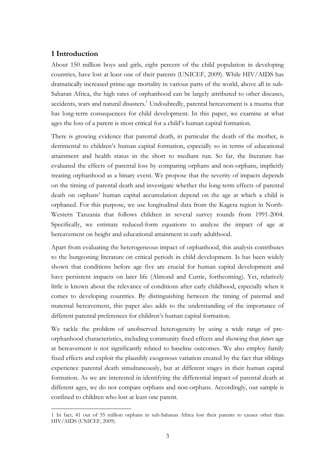# **1 Introduction**

 $\overline{a}$ 

About 150 million boys and girls, eight percent of the child population in developing countries, have lost at least one of their parents (UNICEF, 2009). While HIV/AIDS has dramatically increased prime-age mortality in various parts of the world, above all in sub-Saharan Africa, the high rates of orphanhood can be largely attributed to other diseases, accidents, wars and natural disasters.<sup>1</sup> Undoubtedly, parental bereavement is a trauma that has long-term consequences for child development. In this paper, we examine at what ages the loss of a parent is most critical for a child's human capital formation.

There is growing evidence that parental death, in particular the death of the mother, is detrimental to children's human capital formation, especially so in terms of educational attainment and health status in the short to medium run. So far, the literature has evaluated the effects of parental loss by comparing orphans and non-orphans, implicitly treating orphanhood as a binary event. We propose that the severity of impacts depends on the timing of parental death and investigate whether the long-term effects of parental death on orphans' human capital accumulation depend on the age at which a child is orphaned. For this purpose, we use longitudinal data from the Kagera region in North-Western Tanzania that follows children in several survey rounds from 1991-2004. Specifically, we estimate reduced-form equations to analyze the impact of age at bereavement on height and educational attainment in early adulthood.

Apart from evaluating the heterogeneous impact of orphanhood, this analysis contributes to the burgeoning literature on critical periods in child development. Is has been widely shown that conditions before age five are crucial for human capital development and have persistent impacts on later life (Almond and Currie, forthcoming). Yet, relatively little is known about the relevance of conditions after early childhood, especially when it comes to developing countries. By distinguishing between the timing of paternal and maternal bereavement, this paper also adds to the understanding of the importance of different parental preferences for children's human capital formation.

We tackle the problem of unobserved heterogeneity by using a wide range of preorphanhood characteristics, including community fixed effects and showing that *future* age at bereavement is not significantly related to baseline outcomes. We also employ family fixed effects and exploit the plausibly exogenous variation created by the fact that siblings experience parental death simultaneously, but at different stages in their human capital formation. As we are interested in identifying the differential impact of parental death at different ages, we do not compare orphans and non-orphans. Accordingly, our sample is confined to children who lost at least one parent.

<sup>1</sup> In fact, 41 out of 55 million orphans in sub-Saharan Africa lost their parents to causes other than HIV/AIDS (UNICEF, 2009).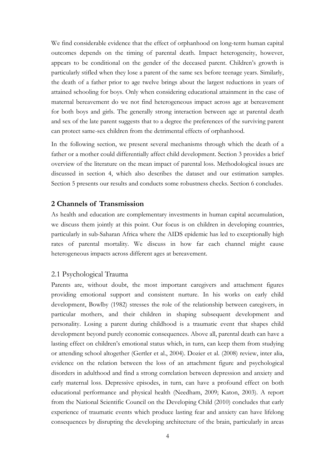We find considerable evidence that the effect of orphanhood on long-term human capital outcomes depends on the timing of parental death. Impact heterogeneity, however, appears to be conditional on the gender of the deceased parent. Children's growth is particularly stifled when they lose a parent of the same sex before teenage years. Similarly, the death of a father prior to age twelve brings about the largest reductions in years of attained schooling for boys. Only when considering educational attainment in the case of maternal bereavement do we not find heterogeneous impact across age at bereavement for both boys and girls. The generally strong interaction between age at parental death and sex of the late parent suggests that to a degree the preferences of the surviving parent can protect same-sex children from the detrimental effects of orphanhood.

In the following section, we present several mechanisms through which the death of a father or a mother could differentially affect child development. Section 3 provides a brief overview of the literature on the mean impact of parental loss. Methodological issues are discussed in section 4, which also describes the dataset and our estimation samples. Section 5 presents our results and conducts some robustness checks. Section 6 concludes.

### **2 Channels of Transmission**

As health and education are complementary investments in human capital accumulation, we discuss them jointly at this point. Our focus is on children in developing countries, particularly in sub-Saharan Africa where the AIDS epidemic has led to exceptionally high rates of parental mortality. We discuss in how far each channel might cause heterogeneous impacts across different ages at bereavement.

#### 2.1 Psychological Trauma

Parents are, without doubt, the most important caregivers and attachment figures providing emotional support and consistent nurture. In his works on early child development, Bowlby (1982) stresses the role of the relationship between caregivers, in particular mothers, and their children in shaping subsequent development and personality. Losing a parent during childhood is a traumatic event that shapes child development beyond purely economic consequences. Above all, parental death can have a lasting effect on children's emotional status which, in turn, can keep them from studying or attending school altogether (Gertler et al., 2004). Dozier et al. (2008) review, inter alia, evidence on the relation between the loss of an attachment figure and psychological disorders in adulthood and find a strong correlation between depression and anxiety and early maternal loss. Depressive episodes, in turn, can have a profound effect on both educational performance and physical health (Needham, 2009; Katon, 2003). A report from the National Scientific Council on the Developing Child (2010) concludes that early experience of traumatic events which produce lasting fear and anxiety can have lifelong consequences by disrupting the developing architecture of the brain, particularly in areas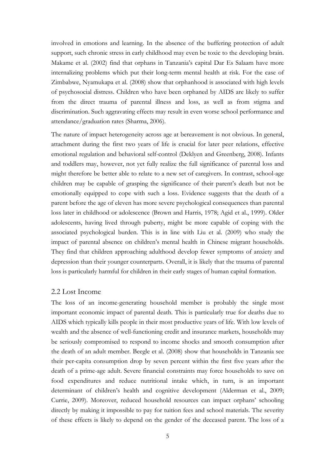involved in emotions and learning. In the absence of the buffering protection of adult support, such chronic stress in early childhood may even be toxic to the developing brain. Makame et al. (2002) find that orphans in Tanzania's capital Dar Es Salaam have more internalizing problems which put their long-term mental health at risk. For the case of Zimbabwe, Nyamukapa et al. (2008) show that orphanhood is associated with high levels of psychosocial distress. Children who have been orphaned by AIDS are likely to suffer from the direct trauma of parental illness and loss, as well as from stigma and discrimination. Such aggravating effects may result in even worse school performance and attendance/graduation rates (Sharma, 2006).

The nature of impact heterogeneity across age at bereavement is not obvious. In general, attachment during the first two years of life is crucial for later peer relations, effective emotional regulation and behavioral self-control (Deklyen and Greenberg, 2008). Infants and toddlers may, however, not yet fully realize the full significance of parental loss and might therefore be better able to relate to a new set of caregivers. In contrast, school-age children may be capable of grasping the significance of their parent's death but not be emotionally equipped to cope with such a loss. Evidence suggests that the death of a parent before the age of eleven has more severe psychological consequences than parental loss later in childhood or adolescence (Brown and Harris, 1978; Agid et al., 1999). Older adolescents, having lived through puberty, might be more capable of coping with the associated psychological burden. This is in line with Liu et al. (2009) who study the impact of parental absence on children's mental health in Chinese migrant households. They find that children approaching adulthood develop fewer symptoms of anxiety and depression than their younger counterparts. Overall, it is likely that the trauma of parental loss is particularly harmful for children in their early stages of human capital formation.

#### 2.2 Lost Income

The loss of an income-generating household member is probably the single most important economic impact of parental death. This is particularly true for deaths due to AIDS which typically kills people in their most productive years of life. With low levels of wealth and the absence of well-functioning credit and insurance markets, households may be seriously compromised to respond to income shocks and smooth consumption after the death of an adult member. Beegle et al. (2008) show that households in Tanzania see their per-capita consumption drop by seven percent within the first five years after the death of a prime-age adult. Severe financial constraints may force households to save on food expenditures and reduce nutritional intake which, in turn, is an important determinant of children's health and cognitive development (Alderman et al., 2009; Currie, 2009). Moreover, reduced household resources can impact orphans' schooling directly by making it impossible to pay for tuition fees and school materials. The severity of these effects is likely to depend on the gender of the deceased parent. The loss of a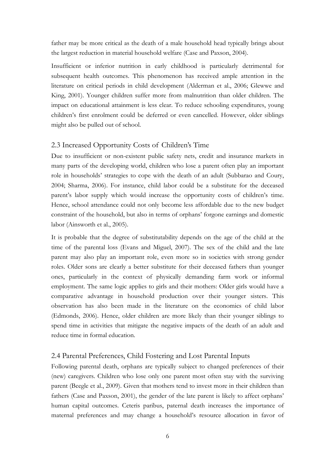father may be more critical as the death of a male household head typically brings about the largest reduction in material household welfare (Case and Paxson, 2004).

Insufficient or inferior nutrition in early childhood is particularly detrimental for subsequent health outcomes. This phenomenon has received ample attention in the literature on critical periods in child development (Alderman et al., 2006; Glewwe and King, 2001). Younger children suffer more from malnutrition than older children. The impact on educational attainment is less clear. To reduce schooling expenditures, young children's first enrolment could be deferred or even cancelled. However, older siblings might also be pulled out of school.

# 2.3 Increased Opportunity Costs of Children's Time

Due to insufficient or non-existent public safety nets, credit and insurance markets in many parts of the developing world, children who lose a parent often play an important role in households' strategies to cope with the death of an adult (Subbarao and Coury, 2004; Sharma, 2006). For instance, child labor could be a substitute for the deceased parent's labor supply which would increase the opportunity costs of children's time. Hence, school attendance could not only become less affordable due to the new budget constraint of the household, but also in terms of orphans' forgone earnings and domestic labor (Ainsworth et al., 2005).

It is probable that the degree of substitutability depends on the age of the child at the time of the parental loss (Evans and Miguel, 2007). The sex of the child and the late parent may also play an important role, even more so in societies with strong gender roles. Older sons are clearly a better substitute for their deceased fathers than younger ones, particularly in the context of physically demanding farm work or informal employment. The same logic applies to girls and their mothers: Older girls would have a comparative advantage in household production over their younger sisters. This observation has also been made in the literature on the economics of child labor (Edmonds, 2006). Hence, older children are more likely than their younger siblings to spend time in activities that mitigate the negative impacts of the death of an adult and reduce time in formal education.

### 2.4 Parental Preferences, Child Fostering and Lost Parental Inputs

Following parental death, orphans are typically subject to changed preferences of their (new) caregivers. Children who lose only one parent most often stay with the surviving parent (Beegle et al., 2009). Given that mothers tend to invest more in their children than fathers (Case and Paxson, 2001), the gender of the late parent is likely to affect orphans' human capital outcomes. Ceteris paribus, paternal death increases the importance of maternal preferences and may change a household's resource allocation in favor of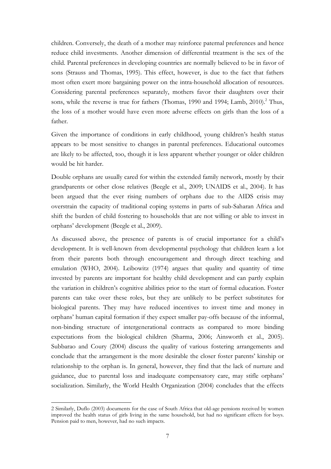children. Conversely, the death of a mother may reinforce paternal preferences and hence reduce child investments. Another dimension of differential treatment is the sex of the child. Parental preferences in developing countries are normally believed to be in favor of sons (Strauss and Thomas, 1995). This effect, however, is due to the fact that fathers most often exert more bargaining power on the intra-household allocation of resources. Considering parental preferences separately, mothers favor their daughters over their sons, while the reverse is true for fathers (Thomas, 1990 and 1994; Lamb, 2010).<sup>2</sup> Thus, the loss of a mother would have even more adverse effects on girls than the loss of a father.

Given the importance of conditions in early childhood, young children's health status appears to be most sensitive to changes in parental preferences. Educational outcomes are likely to be affected, too, though it is less apparent whether younger or older children would be hit harder.

Double orphans are usually cared for within the extended family network, mostly by their grandparents or other close relatives (Beegle et al., 2009; UNAIDS et al., 2004). It has been argued that the ever rising numbers of orphans due to the AIDS crisis may overstrain the capacity of traditional coping systems in parts of sub-Saharan Africa and shift the burden of child fostering to households that are not willing or able to invest in orphans' development (Beegle et al., 2009).

As discussed above, the presence of parents is of crucial importance for a child's development. It is well-known from developmental psychology that children learn a lot from their parents both through encouragement and through direct teaching and emulation (WHO, 2004). Leibowitz (1974) argues that quality and quantity of time invested by parents are important for healthy child development and can partly explain the variation in children's cognitive abilities prior to the start of formal education. Foster parents can take over these roles, but they are unlikely to be perfect substitutes for biological parents. They may have reduced incentives to invest time and money in orphans' human capital formation if they expect smaller pay-offs because of the informal, non-binding structure of intergenerational contracts as compared to more binding expectations from the biological children (Sharma, 2006; Ainsworth et al., 2005). Subbarao and Coury (2004) discuss the quality of various fostering arrangements and conclude that the arrangement is the more desirable the closer foster parents' kinship or relationship to the orphan is. In general, however, they find that the lack of nurture and guidance, due to parental loss and inadequate compensatory care, may stifle orphans' socialization. Similarly, the World Health Organization (2004) concludes that the effects

 $\overline{a}$ 

<sup>2</sup> Similarly, Duflo (2003) documents for the case of South Africa that old-age pensions received by women improved the health status of girls living in the same household, but had no significant effects for boys. Pension paid to men, however, had no such impacts.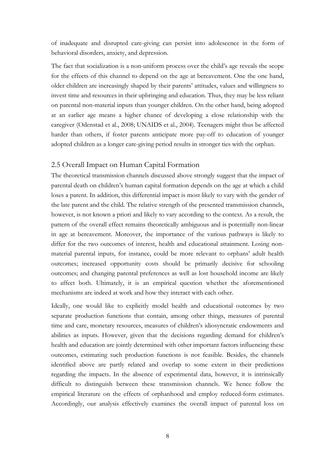of inadequate and disrupted care-giving can persist into adolescence in the form of behavioral disorders, anxiety, and depression.

The fact that socialization is a non-uniform process over the child's age reveals the scope for the effects of this channel to depend on the age at bereavement. One the one hand, older children are increasingly shaped by their parents' attitudes, values and willingness to invest time and resources in their upbringing and education. Thus, they may be less reliant on parental non-material inputs than younger children. On the other hand, being adopted at an earlier age means a higher chance of developing a close relationship with the caregiver (Odenstad et al., 2008; UNAIDS et al., 2004). Teenagers might thus be affected harder than others, if foster parents anticipate more pay-off to education of younger adopted children as a longer care-giving period results in stronger ties with the orphan.

### 2.5 Overall Impact on Human Capital Formation

The theoretical transmission channels discussed above strongly suggest that the impact of parental death on children's human capital formation depends on the age at which a child loses a parent. In addition, this differential impact is most likely to vary with the gender of the late parent and the child. The relative strength of the presented transmission channels, however, is not known a priori and likely to vary according to the context. As a result, the pattern of the overall effect remains theoretically ambiguous and is potentially non-linear in age at bereavement. Moreover, the importance of the various pathways is likely to differ for the two outcomes of interest, health and educational attainment. Losing nonmaterial parental inputs, for instance, could be more relevant to orphans' adult health outcomes; increased opportunity costs should be primarily decisive for schooling outcomes; and changing parental preferences as well as lost household income are likely to affect both. Ultimately, it is an empirical question whether the aforementioned mechanisms are indeed at work and how they interact with each other.

Ideally, one would like to explicitly model health and educational outcomes by two separate production functions that contain, among other things, measures of parental time and care, monetary resources, measures of children's idiosyncratic endowments and abilities as inputs. However, given that the decisions regarding demand for children's health and education are jointly determined with other important factors influencing these outcomes, estimating such production functions is not feasible. Besides, the channels identified above are partly related and overlap to some extent in their predictions regarding the impacts. In the absence of experimental data, however, it is intrinsically difficult to distinguish between these transmission channels. We hence follow the empirical literature on the effects of orphanhood and employ reduced-form estimates. Accordingly, our analysis effectively examines the overall impact of parental loss on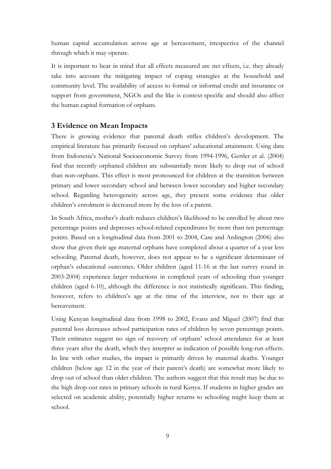human capital accumulation across age at bereavement, irrespective of the channel through which it may operate.

It is important to bear in mind that all effects measured are net effects, i.e. they already take into account the mitigating impact of coping strategies at the household and community level. The availability of access to formal or informal credit and insurance or support from government, NGOs and the like is context-specific and should also affect the human capital formation of orphans.

# **3 Evidence on Mean Impacts**

There is growing evidence that parental death stifles children's development. The empirical literature has primarily focused on orphans' educational attainment. Using data from Indonesia's National Socioeconomic Survey from 1994-1996, Gertler et al. (2004) find that recently orphaned children are substantially more likely to drop out of school than non-orphans. This effect is most pronounced for children at the transition between primary and lower secondary school and between lower secondary and higher secondary school. Regarding heterogeneity across age, they present some evidence that older children's enrolment is decreased more by the loss of a parent.

In South Africa, mother's death reduces children's likelihood to be enrolled by about two percentage points and depresses school-related expenditures by more than ten percentage points. Based on a longitudinal data from 2001 to 2004, Case and Ardington (2006) also show that given their age maternal orphans have completed about a quarter of a year less schooling. Paternal death, however, does not appear to be a significant determinant of orphan's educational outcomes. Older children (aged 11-16 at the last survey round in 2003-2004) experience larger reductions in completed years of schooling than younger children (aged 6-10), although the difference is not statistically significant. This finding, however, refers to children's age at the time of the interview, not to their age at bereavement.

Using Kenyan longitudinal data from 1998 to 2002, Evans and Miguel (2007) find that parental loss decreases school participation rates of children by seven percentage points. Their estimates suggest no sign of recovery of orphans' school attendance for at least three years after the death, which they interpret as indication of possible long-run effects. In line with other studies, the impact is primarily driven by maternal deaths. Younger children (below age 12 in the year of their parent's death) are somewhat more likely to drop out of school than older children. The authors suggest that this result may be due to the high drop-out rates in primary schools in rural Kenya. If students in higher grades are selected on academic ability, potentially higher returns to schooling might keep them at school.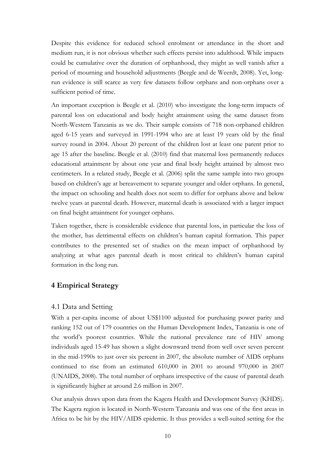Despite this evidence for reduced school enrolment or attendance in the short and medium run, it is not obvious whether such effects persist into adulthood. While impacts could be cumulative over the duration of orphanhood, they might as well vanish after a period of mourning and household adjustments (Beegle and de Weerdt, 2008). Yet, longrun evidence is still scarce as very few datasets follow orphans and non-orphans over a sufficient period of time.

An important exception is Beegle et al. (2010) who investigate the long-term impacts of parental loss on educational and body height attainment using the same dataset from North-Western Tanzania as we do. Their sample consists of 718 non-orphaned children aged 6-15 years and surveyed in 1991-1994 who are at least 19 years old by the final survey round in 2004. About 20 percent of the children lost at least one parent prior to age 15 after the baseline. Beegle et al. (2010) find that maternal loss permanently reduces educational attainment by about one year and final body height attained by almost two centimeters. In a related study, Beegle et al. (2006) split the same sample into two groups based on children's age at bereavement to separate younger and older orphans. In general, the impact on schooling and health does not seem to differ for orphans above and below twelve years at parental death. However, maternal death is associated with a larger impact on final height attainment for younger orphans.

Taken together, there is considerable evidence that parental loss, in particular the loss of the mother, has detrimental effects on children's human capital formation. This paper contributes to the presented set of studies on the mean impact of orphanhood by analyzing at what ages parental death is most critical to children's human capital formation in the long run.

### **4 Empirical Strategy**

#### 4.1 Data and Setting

With a per-capita income of about US\$1100 adjusted for purchasing power parity and ranking 152 out of 179 countries on the Human Development Index, Tanzania is one of the world's poorest countries. While the national prevalence rate of HIV among individuals aged 15-49 has shown a slight downward trend from well over seven percent in the mid-1990s to just over six percent in 2007, the absolute number of AIDS orphans continued to rise from an estimated 610,000 in 2001 to around 970,000 in 2007 (UNAIDS, 2008). The total number of orphans irrespective of the cause of parental death is significantly higher at around 2.6 million in 2007.

Our analysis draws upon data from the Kagera Health and Development Survey (KHDS). The Kagera region is located in North-Western Tanzania and was one of the first areas in Africa to be hit by the HIV/AIDS epidemic. It thus provides a well-suited setting for the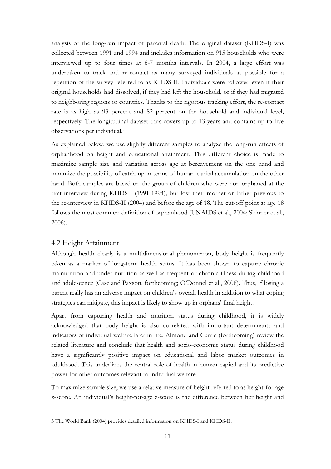analysis of the long-run impact of parental death. The original dataset (KHDS-I) was collected between 1991 and 1994 and includes information on 915 households who were interviewed up to four times at 6-7 months intervals. In 2004, a large effort was undertaken to track and re-contact as many surveyed individuals as possible for a repetition of the survey referred to as KHDS-II. Individuals were followed even if their original households had dissolved, if they had left the household, or if they had migrated to neighboring regions or countries. Thanks to the rigorous tracking effort, the re-contact rate is as high as 93 percent and 82 percent on the household and individual level, respectively. The longitudinal dataset thus covers up to 13 years and contains up to five observations per individual.3

As explained below, we use slightly different samples to analyze the long-run effects of orphanhood on height and educational attainment. This different choice is made to maximize sample size and variation across age at bereavement on the one hand and minimize the possibility of catch-up in terms of human capital accumulation on the other hand. Both samples are based on the group of children who were non-orphaned at the first interview during KHDS-I (1991-1994), but lost their mother or father previous to the re-interview in KHDS-II (2004) and before the age of 18. The cut-off point at age 18 follows the most common definition of orphanhood (UNAIDS et al., 2004; Skinner et al., 2006).

### 4.2 Height Attainment

 $\overline{a}$ 

Although health clearly is a multidimensional phenomenon, body height is frequently taken as a marker of long-term health status. It has been shown to capture chronic malnutrition and under-nutrition as well as frequent or chronic illness during childhood and adolescence (Case and Paxson, forthcoming; O'Donnel et al., 2008). Thus, if losing a parent really has an adverse impact on children's overall health in addition to what coping strategies can mitigate, this impact is likely to show up in orphans' final height.

Apart from capturing health and nutrition status during childhood, it is widely acknowledged that body height is also correlated with important determinants and indicators of individual welfare later in life. Almond and Currie (forthcoming) review the related literature and conclude that health and socio-economic status during childhood have a significantly positive impact on educational and labor market outcomes in adulthood. This underlines the central role of health in human capital and its predictive power for other outcomes relevant to individual welfare.

To maximize sample size, we use a relative measure of height referred to as height-for-age z-score. An individual's height-for-age z-score is the difference between her height and

<sup>3</sup> The World Bank (2004) provides detailed information on KHDS-I and KHDS-II.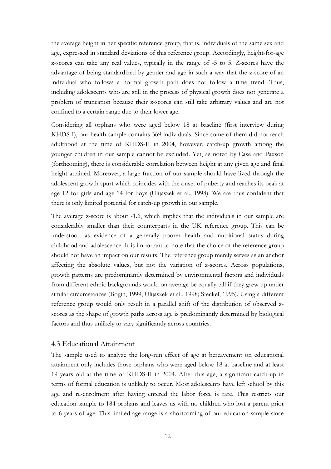the average height in her specific reference group, that is, individuals of the same sex and age, expressed in standard deviations of this reference group. Accordingly, height-for-age z-scores can take any real values, typically in the range of -5 to 5. Z-scores have the advantage of being standardized by gender and age in such a way that the z-score of an individual who follows a normal growth path does not follow a time trend. Thus, including adolescents who are still in the process of physical growth does not generate a problem of truncation because their z-scores can still take arbitrary values and are not confined to a certain range due to their lower age.

Considering all orphans who were aged below 18 at baseline (first interview during KHDS-I), our health sample contains 369 individuals. Since some of them did not reach adulthood at the time of KHDS-II in 2004, however, catch-up growth among the younger children in our sample cannot be excluded. Yet, as noted by Case and Paxson (forthcoming), there is considerable correlation between height at any given age and final height attained. Moreover, a large fraction of our sample should have lived through the adolescent growth spurt which coincides with the onset of puberty and reaches its peak at age 12 for girls and age 14 for boys (Ulijaszek et al., 1998). We are thus confident that there is only limited potential for catch-up growth in our sample.

The average z-score is about -1.6, which implies that the individuals in our sample are considerably smaller than their counterparts in the UK reference group. This can be understood as evidence of a generally poorer health and nutritional status during childhood and adolescence. It is important to note that the choice of the reference group should not have an impact on our results. The reference group merely serves as an anchor affecting the absolute values, but not the variation of z-scores. Across populations, growth patterns are predominantly determined by environmental factors and individuals from different ethnic backgrounds would on average be equally tall if they grew up under similar circumstances (Bogin, 1999; Ulijaszek et al., 1998; Steckel, 1995). Using a different reference group would only result in a parallel shift of the distribution of observed zscores as the shape of growth paths across age is predominantly determined by biological factors and thus unlikely to vary significantly across countries.

#### 4.3 Educational Attainment

The sample used to analyze the long-run effect of age at bereavement on educational attainment only includes those orphans who were aged below 18 at baseline and at least 19 years old at the time of KHDS-II in 2004. After this age, a significant catch-up in terms of formal education is unlikely to occur. Most adolescents have left school by this age and re-enrolment after having entered the labor force is rare. This restricts our education sample to 184 orphans and leaves us with no children who lost a parent prior to 6 years of age. This limited age range is a shortcoming of our education sample since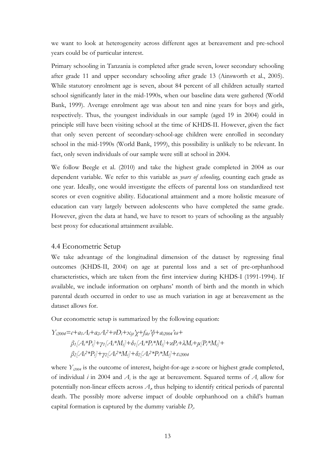we want to look at heterogeneity across different ages at bereavement and pre-school years could be of particular interest.

Primary schooling in Tanzania is completed after grade seven, lower secondary schooling after grade 11 and upper secondary schooling after grade 13 (Ainsworth et al., 2005). While statutory enrolment age is seven, about 84 percent of all children actually started school significantly later in the mid-1990s, when our baseline data were gathered (World Bank, 1999). Average enrolment age was about ten and nine years for boys and girls, respectively. Thus, the youngest individuals in our sample (aged 19 in 2004) could in principle still have been visiting school at the time of KHDS-II. However, given the fact that only seven percent of secondary-school-age children were enrolled in secondary school in the mid-1990s (World Bank, 1999), this possibility is unlikely to be relevant. In fact, only seven individuals of our sample were still at school in 2004.

We follow Beegle et al. (2010) and take the highest grade completed in 2004 as our dependent variable. We refer to this variable as *years of schooling*, counting each grade as one year. Ideally, one would investigate the effects of parental loss on standardized test scores or even cognitive ability. Educational attainment and a more holistic measure of education can vary largely between adolescents who have completed the same grade. However, given the data at hand, we have to resort to years of schooling as the arguably best proxy for educational attainment available.

#### 4.4 Econometric Setup

We take advantage of the longitudinal dimension of the dataset by regressing final outcomes (KHDS-II, 2004) on age at parental loss and a set of pre-orphanhood characteristics, which are taken from the first interview during KHDS-I (1991-1994). If available, we include information on orphans' month of birth and the month in which parental death occurred in order to use as much variation in age at bereavement as the dataset allows for.

Our econometric setup is summarized by the following equation:

$$
Y_{i2004} = c + a_1 A_i + a_2 A_i^2 + \nu D_i + x_{iji} \gamma + f_{ikl} \gamma + a_{i2004} \omega +
$$
  
\n
$$
\beta_1 [A_i * P_i] + \gamma_1 [A_i * M_i] + \delta_1 [A_i * P_i * M_i] + \kappa P_i + \lambda M_i + \mu [P_i * M_i] +
$$
  
\n
$$
\beta_2 [A_i^2 * P_i] + \gamma_2 [A_i^2 * M_i] + \delta_2 [A_i^2 * P_i * M_i] + \varepsilon_{i2004}
$$

where  $Y_{i2004}$  is the outcome of interest, height-for-age z-score or highest grade completed, of individual *i* in 2004 and  $A_i$  is the age at bereavement. Squared terms of  $A_i$  allow for potentially non-linear effects across  $A$ <sub>i</sub>, thus helping to identify critical periods of parental death. The possibly more adverse impact of double orphanhood on a child's human capital formation is captured by the dummy variable *Di* .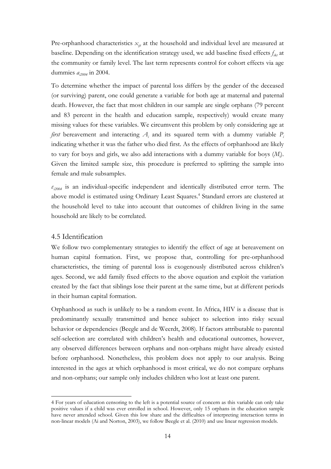Pre-orphanhood characteristics  $x_{ij}$  at the household and individual level are measured at baseline. Depending on the identification strategy used, we add baseline fixed effects  $f_{ik}$  at the community or family level. The last term represents control for cohort effects via age dummies *ai2004* in 2004.

To determine whether the impact of parental loss differs by the gender of the deceased (or surviving) parent, one could generate a variable for both age at maternal and paternal death. However, the fact that most children in our sample are single orphans (79 percent and 83 percent in the health and education sample, respectively) would create many missing values for these variables. We circumvent this problem by only considering age at *first* bereavement and interacting  $A_i$  and its squared term with a dummy variable  $P_i$ indicating whether it was the father who died first. As the effects of orphanhood are likely to vary for boys and girls, we also add interactions with a dummy variable for boys (*Mi* ). Given the limited sample size, this procedure is preferred to splitting the sample into female and male subsamples.

*εi2004* is an individual-specific independent and identically distributed error term. The above model is estimated using Ordinary Least Squares.<sup>4</sup> Standard errors are clustered at the household level to take into account that outcomes of children living in the same household are likely to be correlated.

#### 4.5 Identification

 $\overline{a}$ 

We follow two complementary strategies to identify the effect of age at bereavement on human capital formation. First, we propose that, controlling for pre-orphanhood characteristics, the timing of parental loss is exogenously distributed across children's ages. Second, we add family fixed effects to the above equation and exploit the variation created by the fact that siblings lose their parent at the same time, but at different periods in their human capital formation.

Orphanhood as such is unlikely to be a random event. In Africa, HIV is a disease that is predominantly sexually transmitted and hence subject to selection into risky sexual behavior or dependencies (Beegle and de Weerdt, 2008). If factors attributable to parental self-selection are correlated with children's health and educational outcomes, however, any observed differences between orphans and non-orphans might have already existed before orphanhood. Nonetheless, this problem does not apply to our analysis. Being interested in the ages at which orphanhood is most critical, we do not compare orphans and non-orphans; our sample only includes children who lost at least one parent.

<sup>4</sup> For years of education censoring to the left is a potential source of concern as this variable can only take positive values if a child was ever enrolled in school. However, only 15 orphans in the education sample have never attended school. Given this low share and the difficulties of interpreting interaction terms in non-linear models (Ai and Norton, 2003), we follow Beegle et al. (2010) and use linear regression models.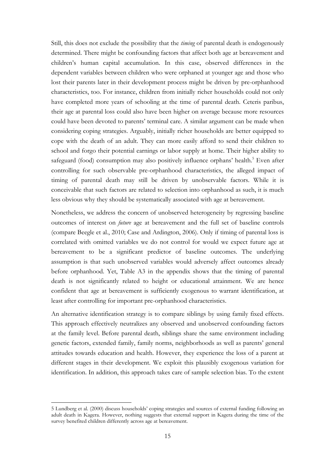Still, this does not exclude the possibility that the *timing* of parental death is endogenously determined. There might be confounding factors that affect both age at bereavement and children's human capital accumulation. In this case, observed differences in the dependent variables between children who were orphaned at younger age and those who lost their parents later in their development process might be driven by pre-orphanhood characteristics, too. For instance, children from initially richer households could not only have completed more years of schooling at the time of parental death. Ceteris paribus, their age at parental loss could also have been higher on average because more resources could have been devoted to parents' terminal care. A similar argument can be made when considering coping strategies. Arguably, initially richer households are better equipped to cope with the death of an adult. They can more easily afford to send their children to school and forgo their potential earnings or labor supply at home. Their higher ability to safeguard (food) consumption may also positively influence orphans' health.<sup>5</sup> Even after controlling for such observable pre-orphanhood characteristics, the alleged impact of timing of parental death may still be driven by unobservable factors. While it is conceivable that such factors are related to selection into orphanhood as such, it is much less obvious why they should be systematically associated with age at bereavement.

Nonetheless, we address the concern of unobserved heterogeneity by regressing baseline outcomes of interest on *future* age at bereavement and the full set of baseline controls (compare Beegle et al., 2010; Case and Ardington, 2006). Only if timing of parental loss is correlated with omitted variables we do not control for would we expect future age at bereavement to be a significant predictor of baseline outcomes. The underlying assumption is that such unobserved variables would adversely affect outcomes already before orphanhood. Yet, Table A3 in the appendix shows that the timing of parental death is not significantly related to height or educational attainment. We are hence confident that age at bereavement is sufficiently exogenous to warrant identification, at least after controlling for important pre-orphanhood characteristics.

An alternative identification strategy is to compare siblings by using family fixed effects. This approach effectively neutralizes any observed and unobserved confounding factors at the family level. Before parental death, siblings share the same environment including genetic factors, extended family, family norms, neighborhoods as well as parents' general attitudes towards education and health. However, they experience the loss of a parent at different stages in their development. We exploit this plausibly exogenous variation for identification. In addition, this approach takes care of sample selection bias. To the extent

 $\overline{a}$ 

<sup>5</sup> Lundberg et al. (2000) discuss households' coping strategies and sources of external funding following an adult death in Kagera. However, nothing suggests that external support in Kagera during the time of the survey benefited children differently across age at bereavement.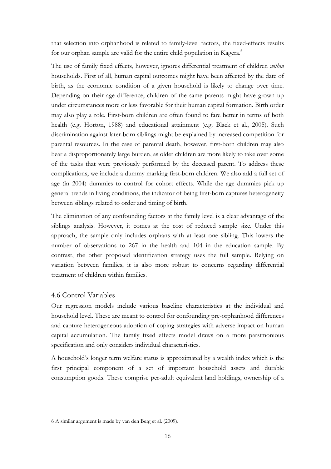that selection into orphanhood is related to family-level factors, the fixed-effects results for our orphan sample are valid for the entire child population in Kagera.<sup>6</sup>

The use of family fixed effects, however, ignores differential treatment of children *within* households. First of all, human capital outcomes might have been affected by the date of birth, as the economic condition of a given household is likely to change over time. Depending on their age difference, children of the same parents might have grown up under circumstances more or less favorable for their human capital formation. Birth order may also play a role. First-born children are often found to fare better in terms of both health (e.g. Horton, 1988) and educational attainment (e.g. Black et al., 2005). Such discrimination against later-born siblings might be explained by increased competition for parental resources. In the case of parental death, however, first-born children may also bear a disproportionately large burden, as older children are more likely to take over some of the tasks that were previously performed by the deceased parent. To address these complications, we include a dummy marking first-born children. We also add a full set of age (in 2004) dummies to control for cohort effects. While the age dummies pick up general trends in living conditions, the indicator of being first-born captures heterogeneity between siblings related to order and timing of birth.

The elimination of any confounding factors at the family level is a clear advantage of the siblings analysis. However, it comes at the cost of reduced sample size. Under this approach, the sample only includes orphans with at least one sibling. This lowers the number of observations to 267 in the health and 104 in the education sample. By contrast, the other proposed identification strategy uses the full sample. Relying on variation between families, it is also more robust to concerns regarding differential treatment of children within families.

### 4.6 Control Variables

 $\overline{a}$ 

Our regression models include various baseline characteristics at the individual and household level. These are meant to control for confounding pre-orphanhood differences and capture heterogeneous adoption of coping strategies with adverse impact on human capital accumulation. The family fixed effects model draws on a more parsimonious specification and only considers individual characteristics.

A household's longer term welfare status is approximated by a wealth index which is the first principal component of a set of important household assets and durable consumption goods. These comprise per-adult equivalent land holdings, ownership of a

<sup>6</sup> A similar argument is made by van den Berg et al. (2009).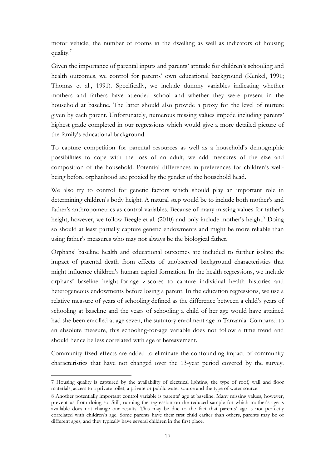motor vehicle, the number of rooms in the dwelling as well as indicators of housing quality.<sup>7</sup>

Given the importance of parental inputs and parents' attitude for children's schooling and health outcomes, we control for parents' own educational background (Kenkel, 1991; Thomas et al., 1991). Specifically, we include dummy variables indicating whether mothers and fathers have attended school and whether they were present in the household at baseline. The latter should also provide a proxy for the level of nurture given by each parent. Unfortunately, numerous missing values impede including parents' highest grade completed in our regressions which would give a more detailed picture of the family's educational background.

To capture competition for parental resources as well as a household's demographic possibilities to cope with the loss of an adult, we add measures of the size and composition of the household. Potential differences in preferences for children's wellbeing before orphanhood are proxied by the gender of the household head.

We also try to control for genetic factors which should play an important role in determining children's body height. A natural step would be to include both mother's and father's anthropometrics as control variables. Because of many missing values for father's height, however, we follow Beegle et al. (2010) and only include mother's height.<sup>8</sup> Doing so should at least partially capture genetic endowments and might be more reliable than using father's measures who may not always be the biological father.

Orphans' baseline health and educational outcomes are included to further isolate the impact of parental death from effects of unobserved background characteristics that might influence children's human capital formation. In the health regressions, we include orphans' baseline height-for-age z-scores to capture individual health histories and heterogeneous endowments before losing a parent. In the education regressions, we use a relative measure of years of schooling defined as the difference between a child's years of schooling at baseline and the years of schooling a child of her age would have attained had she been enrolled at age seven, the statutory enrolment age in Tanzania. Compared to an absolute measure, this schooling-for-age variable does not follow a time trend and should hence be less correlated with age at bereavement.

Community fixed effects are added to eliminate the confounding impact of community characteristics that have not changed over the 13-year period covered by the survey.

 $\overline{a}$ 

<sup>7</sup> Housing quality is captured by the availability of electrical lighting, the type of roof, wall and floor materials, access to a private toilet, a private or public water source and the type of water source.

<sup>8</sup> Another potentially important control variable is parents' age at baseline. Many missing values, however, prevent us from doing so. Still, running the regression on the reduced sample for which mother's age is available does not change our results. This may be due to the fact that parents' age is not perfectly correlated with children's age. Some parents have their first child earlier than others, parents may be of different ages, and they typically have several children in the first place.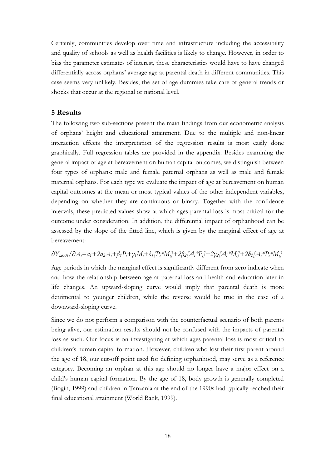Certainly, communities develop over time and infrastructure including the accessibility and quality of schools as well as health facilities is likely to change. However, in order to bias the parameter estimates of interest, these characteristics would have to have changed differentially across orphans' average age at parental death in different communities. This case seems very unlikely. Besides, the set of age dummies take care of general trends or shocks that occur at the regional or national level.

# **5 Results**

The following two sub-sections present the main findings from our econometric analysis of orphans' height and educational attainment. Due to the multiple and non-linear interaction effects the interpretation of the regression results is most easily done graphically. Full regression tables are provided in the appendix. Besides examining the general impact of age at bereavement on human capital outcomes, we distinguish between four types of orphans: male and female paternal orphans as well as male and female maternal orphans. For each type we evaluate the impact of age at bereavement on human capital outcomes at the mean or most typical values of the other independent variables, depending on whether they are continuous or binary. Together with the confidence intervals, these predicted values show at which ages parental loss is most critical for the outcome under consideration. In addition, the differential impact of orphanhood can be assessed by the slope of the fitted line, which is given by the marginal effect of age at bereavement:

# *∂Yi2004/∂Ai=α1+2α2Ai+β1Pi+γ1Mi+δ1[Pi\*Mi]+2β2[Ai\*Pi]+2γ2[Ai\*Mi]+2δ2[Ai\*Pi\*Mi]*

Age periods in which the marginal effect is significantly different from zero indicate when and how the relationship between age at paternal loss and health and education later in life changes. An upward-sloping curve would imply that parental death is more detrimental to younger children, while the reverse would be true in the case of a downward-sloping curve.

Since we do not perform a comparison with the counterfactual scenario of both parents being alive, our estimation results should not be confused with the impacts of parental loss as such. Our focus is on investigating at which ages parental loss is most critical to children's human capital formation. However, children who lost their first parent around the age of 18, our cut-off point used for defining orphanhood, may serve as a reference category. Becoming an orphan at this age should no longer have a major effect on a child's human capital formation. By the age of 18, body growth is generally completed (Bogin, 1999) and children in Tanzania at the end of the 1990s had typically reached their final educational attainment (World Bank, 1999).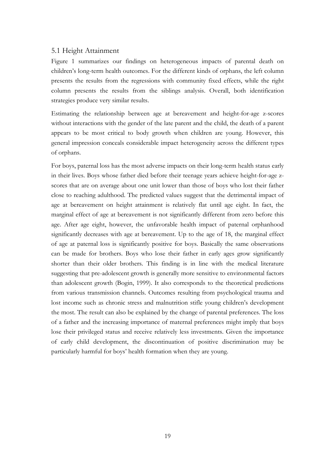#### 5.1 Height Attainment

Figure 1 summarizes our findings on heterogeneous impacts of parental death on children's long-term health outcomes. For the different kinds of orphans, the left column presents the results from the regressions with community fixed effects, while the right column presents the results from the siblings analysis. Overall, both identification strategies produce very similar results.

Estimating the relationship between age at bereavement and height-for-age z-scores without interactions with the gender of the late parent and the child, the death of a parent appears to be most critical to body growth when children are young. However, this general impression conceals considerable impact heterogeneity across the different types of orphans.

For boys, paternal loss has the most adverse impacts on their long-term health status early in their lives. Boys whose father died before their teenage years achieve height-for-age zscores that are on average about one unit lower than those of boys who lost their father close to reaching adulthood. The predicted values suggest that the detrimental impact of age at bereavement on height attainment is relatively flat until age eight. In fact, the marginal effect of age at bereavement is not significantly different from zero before this age. After age eight, however, the unfavorable health impact of paternal orphanhood significantly decreases with age at bereavement. Up to the age of 18, the marginal effect of age at paternal loss is significantly positive for boys. Basically the same observations can be made for brothers. Boys who lose their father in early ages grow significantly shorter than their older brothers. This finding is in line with the medical literature suggesting that pre-adolescent growth is generally more sensitive to environmental factors than adolescent growth (Bogin, 1999). It also corresponds to the theoretical predictions from various transmission channels. Outcomes resulting from psychological trauma and lost income such as chronic stress and malnutrition stifle young children's development the most. The result can also be explained by the change of parental preferences. The loss of a father and the increasing importance of maternal preferences might imply that boys lose their privileged status and receive relatively less investments. Given the importance of early child development, the discontinuation of positive discrimination may be particularly harmful for boys' health formation when they are young.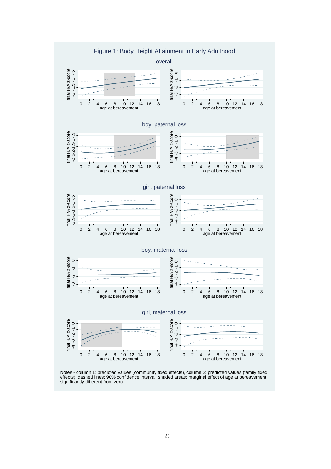

Notes - column 1: predicted values (community fixed effects), column 2: predicted values (family fixed effects); dashed lines: 90% confidence interval; shaded areas: marginal effect of age at bereavement significantly different from zero.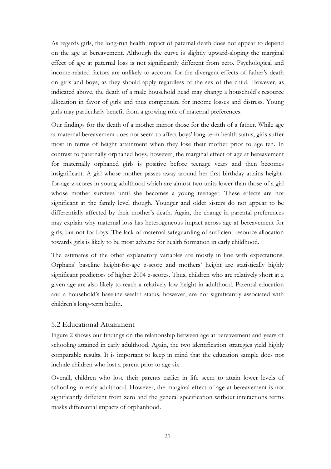As regards girls, the long-run health impact of paternal death does not appear to depend on the age at bereavement. Although the curve is slightly upward-sloping the marginal effect of age at paternal loss is not significantly different from zero. Psychological and income-related factors are unlikely to account for the divergent effects of father's death on girls and boys, as they should apply regardless of the sex of the child. However, as indicated above, the death of a male household head may change a household's resource allocation in favor of girls and thus compensate for income losses and distress. Young girls may particularly benefit from a growing role of maternal preferences.

Our findings for the death of a mother mirror those for the death of a father. While age at maternal bereavement does not seem to affect boys' long-term health status, girls suffer most in terms of height attainment when they lose their mother prior to age ten. In contrast to paternally orphaned boys, however, the marginal effect of age at bereavement for maternally orphaned girls is positive before teenage years and then becomes insignificant. A girl whose mother passes away around her first birthday attains heightfor-age z-scores in young adulthood which are almost two units lower than those of a girl whose mother survives until she becomes a young teenager. These effects are not significant at the family level though. Younger and older sisters do not appear to be differentially affected by their mother's death. Again, the change in parental preferences may explain why maternal loss has heterogeneous impact across age at bereavement for girls, but not for boys. The lack of maternal safeguarding of sufficient resource allocation towards girls is likely to be most adverse for health formation in early childhood.

The estimates of the other explanatory variables are mostly in line with expectations. Orphans' baseline height-for-age z-score and mothers' height are statistically highly significant predictors of higher 2004 z-scores. Thus, children who are relatively short at a given age are also likely to reach a relatively low height in adulthood. Parental education and a household's baseline wealth status, however, are not significantly associated with children's long-term health.

### 5.2 Educational Attainment

Figure 2 shows our findings on the relationship between age at bereavement and years of schooling attained in early adulthood. Again, the two identification strategies yield highly comparable results. It is important to keep in mind that the education sample does not include children who lost a parent prior to age six.

Overall, children who lose their parents earlier in life seem to attain lower levels of schooling in early adulthood. However, the marginal effect of age at bereavement is not significantly different from zero and the general specification without interactions terms masks differential impacts of orphanhood.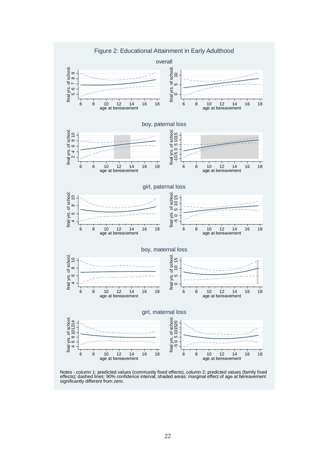

Notes - column 1: predicted values (community fixed effects), column 2: predicted values (family fixed effects); dashed lines: 90% confidence interval; shaded areas: marginal effect of age at bereavement significantly different from zero.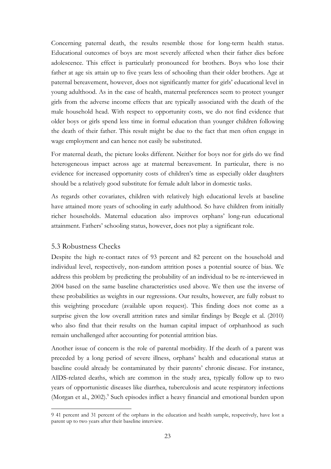Concerning paternal death, the results resemble those for long-term health status. Educational outcomes of boys are most severely affected when their father dies before adolescence. This effect is particularly pronounced for brothers. Boys who lose their father at age six attain up to five years less of schooling than their older brothers. Age at paternal bereavement, however, does not significantly matter for girls' educational level in young adulthood. As in the case of health, maternal preferences seem to protect younger girls from the adverse income effects that are typically associated with the death of the male household head. With respect to opportunity costs, we do not find evidence that older boys or girls spend less time in formal education than younger children following the death of their father. This result might be due to the fact that men often engage in wage employment and can hence not easily be substituted.

For maternal death, the picture looks different. Neither for boys nor for girls do we find heterogeneous impact across age at maternal bereavement. In particular, there is no evidence for increased opportunity costs of children's time as especially older daughters should be a relatively good substitute for female adult labor in domestic tasks.

As regards other covariates, children with relatively high educational levels at baseline have attained more years of schooling in early adulthood. So have children from initially richer households. Maternal education also improves orphans' long-run educational attainment. Fathers' schooling status, however, does not play a significant role.

### 5.3 Robustness Checks

 $\overline{a}$ 

Despite the high re-contact rates of 93 percent and 82 percent on the household and individual level, respectively, non-random attrition poses a potential source of bias. We address this problem by predicting the probability of an individual to be re-interviewed in 2004 based on the same baseline characteristics used above. We then use the inverse of these probabilities as weights in our regressions. Our results, however, are fully robust to this weighting procedure (available upon request). This finding does not come as a surprise given the low overall attrition rates and similar findings by Beegle et al. (2010) who also find that their results on the human capital impact of orphanhood as such remain unchallenged after accounting for potential attrition bias.

Another issue of concern is the role of parental morbidity. If the death of a parent was preceded by a long period of severe illness, orphans' health and educational status at baseline could already be contaminated by their parents' chronic disease. For instance, AIDS-related deaths, which are common in the study area, typically follow up to two years of opportunistic diseases like diarrhea, tuberculosis and acute respiratory infections (Morgan et al., 2002).<sup>9</sup> Such episodes inflict a heavy financial and emotional burden upon

<sup>9 41</sup> percent and 31 percent of the orphans in the education and health sample, respectively, have lost a parent up to two years after their baseline interview.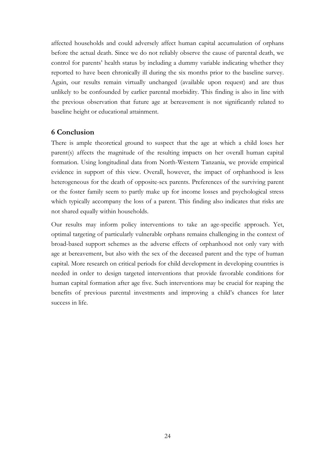affected households and could adversely affect human capital accumulation of orphans before the actual death. Since we do not reliably observe the cause of parental death, we control for parents' health status by including a dummy variable indicating whether they reported to have been chronically ill during the six months prior to the baseline survey. Again, our results remain virtually unchanged (available upon request) and are thus unlikely to be confounded by earlier parental morbidity. This finding is also in line with the previous observation that future age at bereavement is not significantly related to baseline height or educational attainment.

# **6 Conclusion**

There is ample theoretical ground to suspect that the age at which a child loses her parent(s) affects the magnitude of the resulting impacts on her overall human capital formation. Using longitudinal data from North-Western Tanzania, we provide empirical evidence in support of this view. Overall, however, the impact of orphanhood is less heterogeneous for the death of opposite-sex parents. Preferences of the surviving parent or the foster family seem to partly make up for income losses and psychological stress which typically accompany the loss of a parent. This finding also indicates that risks are not shared equally within households.

Our results may inform policy interventions to take an age-specific approach. Yet, optimal targeting of particularly vulnerable orphans remains challenging in the context of broad-based support schemes as the adverse effects of orphanhood not only vary with age at bereavement, but also with the sex of the deceased parent and the type of human capital. More research on critical periods for child development in developing countries is needed in order to design targeted interventions that provide favorable conditions for human capital formation after age five. Such interventions may be crucial for reaping the benefits of previous parental investments and improving a child's chances for later success in life.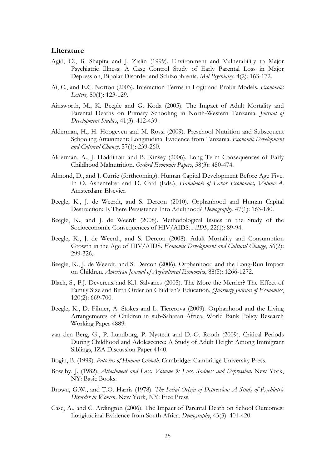#### **Literature**

- Agid, O., B. Shapira and J. Zislin (1999). Environment and Vulnerability to Major Psychiatric Illness: A Case Control Study of Early Parental Loss in Major Depression, Bipolar Disorder and Schizophrenia. *Mol Psychiatry,* 4(2): 163-172.
- Ai, C., and E.C. Norton (2003). Interaction Terms in Logit and Probit Models. *Economics Letters,* 80(1): 123-129.
- Ainsworth, M., K. Beegle and G. Koda (2005). The Impact of Adult Mortality and Parental Deaths on Primary Schooling in North-Western Tanzania. *Journal of Development Studies*, 41(3): 412-439.
- Alderman, H., H. Hoogeven and M. Rossi (2009). Preschool Nutrition and Subsequent Schooling Attainment: Longitudinal Evidence from Tanzania. *Economic Development and Cultural Change*, 57(1): 239-260.
- Alderman, A., J. Hoddinott and B. Kinsey (2006). Long Term Consequences of Early Childhood Malnutrition. *Oxford Economic Papers*, 58(3): 450-474.
- Almond, D., and J. Currie (forthcoming). Human Capital Development Before Age Five. In O. Ashenfelter and D. Card (Eds.), *Handbook of Labor Economics, Volume 4*. Amsterdam: Elsevier.
- Beegle, K., J. de Weerdt, and S. Dercon (2010). Orphanhood and Human Capital Destruction: Is There Persistence Into Adulthood? *Demography*, 47(1): 163-180.
- Beegle, K., and J. de Weerdt (2008). Methodological Issues in the Study of the Socioeconomic Consequences of HIV/AIDS. *AIDS*, 22(1): 89-94.
- Beegle, K., J. de Weerdt, and S. Dercon (2008). Adult Mortality and Consumption Growth in the Age of HIV/AIDS. *Economic Development and Cultural Change*, 56(2): 299-326.
- Beegle, K., J. de Weerdt, and S. Dercon (2006). Orphanhood and the Long-Run Impact on Children. *American Journal of Agricultural Economics*, 88(5): 1266-1272.
- Black, S., P.J. Devereux and K.J. Salvanes (2005). The More the Merrier? The Effect of Family Size and Birth Order on Children's Education. *Quarterly Journal of Economics*, 120(2): 669-700.
- Beegle, K., D. Filmer, A. Stokes and L. Tiererova (2009). Orphanhood and the Living Arrangements of Children in sub-Saharan Africa. World Bank Policy Research Working Paper 4889.
- van den Berg, G., P. Lundborg, P. Nystedt and D.-O. Rooth (2009). Critical Periods During Childhood and Adolescence: A Study of Adult Height Among Immigrant Siblings, IZA Discussion Paper 4140.
- Bogin, B. (1999). *Patterns of Human Growth*. Cambridge: Cambridge University Press.
- Bowlby, J. (1982). *Attachment and Loss: Volume 3: Loss, Sadness and Depression*. New York, NY: Basic Books.
- Brown, G.W., and T.O. Harris (1978). *The Social Origin of Depression: A Study of Psychiatric Disorder in Women*. New York, NY: Free Press.
- Case, A., and C. Ardington (2006). The Impact of Parental Death on School Outcomes: Longitudinal Evidence from South Africa. *Demography*, 43(3): 401-420.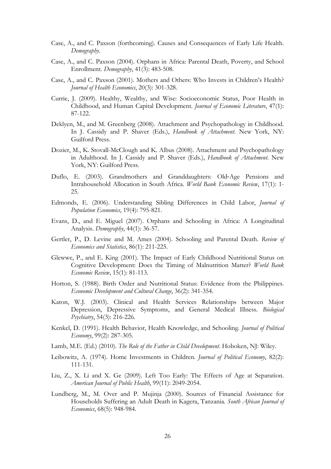- Case, A., and C. Paxson (forthcoming). Causes and Consequences of Early Life Health. *Demography*.
- Case, A., and C. Paxson (2004). Orphans in Africa: Parental Death, Poverty, and School Enrollment. *Demography*, 41(3): 483-508.
- Case, A., and C. Paxson (2001). Mothers and Others: Who Invests in Children's Health? *Journal of Health Economics*, 20(3): 301-328.
- Currie, J. (2009). Healthy, Wealthy, and Wise: Socioeconomic Status, Poor Health in Childhood, and Human Capital Development. *Journal of Economic Literature*, 47(1): 87-122.
- Deklyen, M., and M. Greenberg (2008). Attachment and Psychopathology in Childhood. In J. Cassidy and P. Shaver (Eds.), *Handbook of Attachment*. New York, NY: Guilford Press.
- Dozier, M., K. Stovall-McClough and K. Albus (2008). Attachment and Psychopathology in Adulthood. In J. Cassidy and P. Shaver (Eds.), *Handbook of Attachment*. New York, NY: Guilford Press.
- Duflo, E. (2003). Grandmothers and Granddaughters: Old‐Age Pensions and Intrahousehold Allocation in South Africa. *World Bank Economic Review*, 17(1): 1- 25.
- Edmonds, E. (2006). Understanding Sibling Differences in Child Labor, *Journal of Population Economics*, 19(4): 795-821.
- Evans, D., and E. Miguel (2007). Orphans and Schooling in Africa: A Longitudinal Analysis. *Demography*, 44(1): 36-57.
- Gertler, P., D. Levine and M. Ames (2004). Schooling and Parental Death. *Review of Economics and Statistics*, 86(1): 211-225.
- Glewwe, P., and E. King (2001). The Impact of Early Childhood Nutritional Status on Cognitive Development: Does the Timing of Malnutrition Matter? *World Bank Economic Review*, 15(1): 81-113.
- Horton, S. (1988). Birth Order and Nutritional Status: Evidence from the Philippines. *Economic Development and Cultural Change*, 36(2): 341-354.
- Katon, W.J. (2003). Clinical and Health Services Relationships between Major Depression, Depressive Symptoms, and General Medical Illness. *Biological Psychiatry*, 54(3): 216-226.
- Kenkel, D. (1991). Health Behavior, Health Knowledge, and Schooling. *Journal of Political Economy*, 99(2): 287-305.
- Lamb, M.E. (Ed.) (2010). *The Role of the Father in Child Development*. Hoboken, NJ: Wiley.
- Leibowitz, A. (1974). Home Investments in Children. *Journal of Political Economy*, 82(2): 111-131.
- Liu, Z., X. Li and X. Ge (2009). Left Too Early: The Effects of Age at Separation. *American Journal of Public Health*, 99(11): 2049-2054.
- Lundberg, M., M. Over and P. Mujinja (2000). Sources of Financial Assistance for Households Suffering an Adult Death in Kagera, Tanzania. *South African Journal of Economics*, 68(5): 948-984.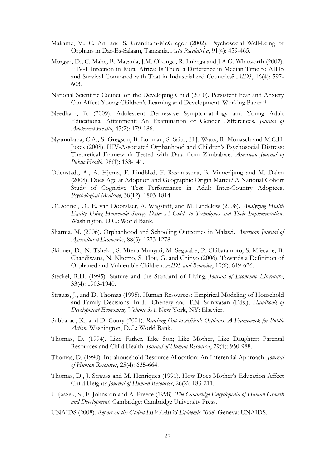- Makame, V., C. Ani and S. Grantham-McGregor (2002). Psychosocial Well-being of Orphans in Dar-Es-Salaam, Tanzania. *Acta Paediatrica*, 91(4): 459-465.
- Morgan, D., C. Mahe, B. Mayanja, J.M. Okongo, R. Lubega and J.A.G. Whitworth (2002). HIV-1 Infection in Rural Africa: Is There a Difference in Median Time to AIDS and Survival Compared with That in Industrialized Countries? *AIDS*, 16(4): 597- 603.
- National Scientific Council on the Developing Child (2010). Persistent Fear and Anxiety Can Affect Young Children's Learning and Development. Working Paper 9.
- Needham, B. (2009). Adolescent Depressive Symptomatology and Young Adult Educational Attainment: An Examination of Gender Differences. *Journal of Adolescent Health*, 45(2): 179-186.
- Nyamukapa, C.A., S. Gregson, B. Lopman, S. Saito, H.J. Watts, R. Monasch and M.C.H. Jukes (2008). HIV-Associated Orphanhood and Children's Psychosocial Distress: Theoretical Framework Tested with Data from Zimbabwe. *American Journal of Public Health*, 98(1): 133-141.
- Odenstadt, A., A. Hjerna, F. Lindblad, F. Rasmussena, B. Vinnerljung and M. Dalen (2008). Does Age at Adoption and Geographic Origin Matter? A National Cohort Study of Cognitive Test Performance in Adult Inter-Country Adoptees. *Psychological Medicine*, 38(12): 1803-1814.
- O'Donnel, O., E. van Doorslaer, A. Wagstaff, and M. Lindelow (2008). *Analyzing Health Equity Using Household Survey Data: A Guide to Techniques and Their Implementation*. Washington, D.C.: World Bank.
- Sharma, M. (2006). Orphanhood and Schooling Outcomes in Malawi. *American Journal of Agricultural Economics*, 88(5): 1273-1278.
- Skinner, D., N. Tsheko, S. Mtero-Munyati, M. Segwabe, P. Chibatamoto, S. Mfecane, B. Chandiwana, N. Nkomo, S. Tlou, G. and Chitiyo (2006). Towards a Definition of Orphaned and Vulnerable Children. *AIDS and Behavior*, 10(6): 619-626.
- Steckel, R.H. (1995). Stature and the Standard of Living. *Journal of Economic Literature*, 33(4): 1903-1940.
- Strauss, J., and D. Thomas (1995). Human Resources: Empirical Modeling of Household and Family Decisions. In H. Chenery and T.N. Srinivasan (Eds.), *Handbook of Development Economics, Volume 3A*. New York, NY: Elsevier.
- Subbarao, K., and D. Coury (2004). *Reaching Out to Africa's Orphans: A Framework for Public Action*. Washington, D.C.: World Bank.
- Thomas, D. (1994). Like Father, Like Son; Like Mother, Like Daughter: Parental Resources and Child Health. *Journal of Human Resources*, 29(4): 950-988.
- Thomas, D. (1990). Intrahousehold Resource Allocation: An Inferential Approach. *Journal of Human Resources*, 25(4): 635-664.
- Thomas, D., J. Strauss and M. Henriques (1991). How Does Mother's Education Affect Child Height? *Journal of Human Resources*, 26(2): 183-211.
- Ulijaszek, S., F. Johnston and A. Preece (1998). *The Cambridge Encyclopedia of Human Growth and Development*. Cambridge: Cambridge University Press.
- UNAIDS (2008). *Report on the Global HIV/AIDS Epidemic 2008*. Geneva: UNAIDS.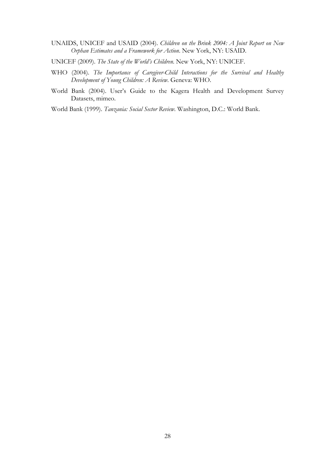- UNAIDS, UNICEF and USAID (2004). *Children on the Brink 2004: A Joint Report on New Orphan Estimates and a Framework for Action*. New York, NY: USAID.
- UNICEF (2009). *The State of the World's Children*. New York, NY: UNICEF.
- WHO (2004). *The Importance of Caregiver-Child Interactions for the Survival and Healthy Development of Young Children: A Review*. Geneva: WHO.
- World Bank (2004). User's Guide to the Kagera Health and Development Survey Datasets, mimeo.

World Bank (1999). *Tanzania: Social Sector Review*. Washington, D.C.: World Bank.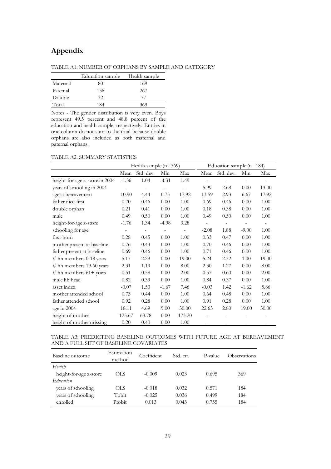# **Appendix**

TABLE A1: NUMBER OF ORPHANS BY SAMPLE AND CATEGORY

|          | Education sample | Health sample |
|----------|------------------|---------------|
| Maternal | 80               | 169           |
| Paternal | 136              | 267           |
| Double   | 32.              |               |
| Total    | 184              | 369           |

Notes - The gender distribution is very even. Boys represent 49.5 percent and 48.8 percent of the education and health sample, respectively. Entries in one column do not sum to the total because double orphans are also included as both maternal and paternal orphans.

#### TABLE A2: SUMMARY STATISTICS

|                                |         | Health sample $(n=369)$  |                          |        |                          |                          |                          | Education sample (n=184) |  |  |  |  |
|--------------------------------|---------|--------------------------|--------------------------|--------|--------------------------|--------------------------|--------------------------|--------------------------|--|--|--|--|
|                                | Mean    | Std. dev.                | Min                      | Max    | Mean                     | Std. dev.                | Min                      | Max                      |  |  |  |  |
| height-for-age z-score in 2004 | $-1.56$ | 1.04                     | $-4.31$                  | 1.49   |                          |                          |                          |                          |  |  |  |  |
| years of schooling in 2004     |         | $\overline{\phantom{a}}$ | $\overline{\phantom{m}}$ |        | 5.99                     | 2.68                     | 0.00                     | 13.00                    |  |  |  |  |
| age at bereavement             | 10.90   | 4.44                     | 0.75                     | 17.92  | 13.59                    | 2.93                     | 6.67                     | 17.92                    |  |  |  |  |
| father died first              | 0.70    | 0.46                     | 0.00                     | 1.00   | 0.69                     | 0.46                     | 0.00                     | 1.00                     |  |  |  |  |
| double orphan                  | 0.21    | 0.41                     | 0.00                     | 1.00   | 0.18                     | 0.38                     | 0.00                     | 1.00                     |  |  |  |  |
| male                           | 0.49    | 0.50                     | 0.00                     | 1.00   | 0.49                     | 0.50                     | 0.00                     | 1.00                     |  |  |  |  |
| height-for-age z-score         | $-1.76$ | 1.34                     | $-4.98$                  | 3.28   | $\overline{\phantom{a}}$ | $\overline{\phantom{a}}$ | $\overline{\phantom{a}}$ | $\overline{\phantom{a}}$ |  |  |  |  |
| schooling for age              |         | $\frac{1}{2}$            |                          |        | $-2.08$                  | 1.88                     | $-9.00$                  | 1.00                     |  |  |  |  |
| first-born                     | 0.28    | 0.45                     | 0.00                     | 1.00   | 0.33                     | 0.47                     | 0.00                     | 1.00                     |  |  |  |  |
| mother present at baseline     | 0.76    | 0.43                     | 0.00                     | 1.00   | 0.70                     | 0.46                     | 0.00                     | 1.00                     |  |  |  |  |
| father present at baseline     | 0.69    | 0.46                     | 0.00                     | 1.00   | 0.71                     | 0.46                     | 0.00                     | 1.00                     |  |  |  |  |
| # hh members 0-18 years        | 5.17    | 2.29                     | 0.00                     | 19.00  | 5.24                     | 2.32                     | 1.00                     | 19.00                    |  |  |  |  |
| # hh members 19-60 years       | 2.31    | 1.19                     | 0.00                     | 8.00   | 2.30                     | 1.27                     | 0.00                     | 8.00                     |  |  |  |  |
| # hh members $61+$ years       | 0.51    | 0.58                     | 0.00                     | 2.00   | 0.57                     | 0.60                     | 0.00                     | 2.00                     |  |  |  |  |
| male hh head                   | 0.82    | 0.39                     | 0.00                     | 1.00   | 0.84                     | 0.37                     | 0.00                     | 1.00                     |  |  |  |  |
| asset index                    | $-0.07$ | 1.53                     | $-1.67$                  | 7.46   | $-0.03$                  | 1.42                     | $-1.62$                  | 5.86                     |  |  |  |  |
| mother attended school         | 0.73    | 0.44                     | 0.00                     | 1.00   | 0.64                     | 0.48                     | 0.00                     | 1.00                     |  |  |  |  |
| father attended school         | 0.92    | 0.28                     | 0.00                     | 1.00   | 0.91                     | 0.28                     | 0.00                     | 1.00                     |  |  |  |  |
| age in 2004                    | 18.11   | 4.69                     | 9.00                     | 30.00  | 22.63                    | 2.80                     | 19.00                    | 30.00                    |  |  |  |  |
| height of mother               | 125.67  | 63.78                    | 0.00                     | 173.20 |                          |                          |                          |                          |  |  |  |  |
| height of mother missing       | 0.20    | 0.40                     | 0.00                     | 1.00   |                          | $\overline{\phantom{0}}$ |                          | ٠                        |  |  |  |  |

#### TABLE A3: PREDICTING BASELINE OUTCOMES WITH FUTURE AGE AT BEREAVEMENT AND A FULL SET OF BASELINE COVARIATES

| Baseline outcome       | Estimation<br>method | Coefficient | Std. err. | P-value | Observations |
|------------------------|----------------------|-------------|-----------|---------|--------------|
| Health                 |                      |             |           |         |              |
| height-for-age z-score | OLS                  | $-0.009$    | 0.023     | 0.695   | 369          |
| Education              |                      |             |           |         |              |
| years of schooling     | OLS                  | $-0.018$    | 0.032     | 0.571   | 184          |
| years of schooling     | Tobit                | $-0.025$    | 0.036     | 0.499   | 184          |
| enrolled               | Probit               | 0.013       | 0.043     | 0.755   | 184          |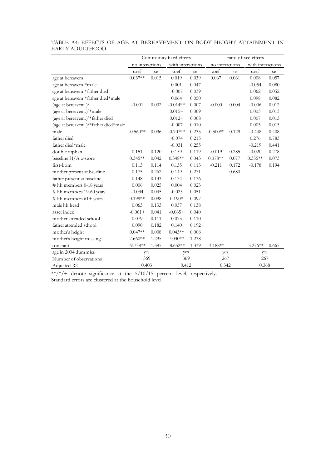|                                                   |                 | Community fixed effects | Family fixed effects |                   |            |                 |            |                   |  |
|---------------------------------------------------|-----------------|-------------------------|----------------------|-------------------|------------|-----------------|------------|-------------------|--|
|                                                   | no interactions |                         |                      | with interactions |            | no interactions |            | with interactions |  |
|                                                   | <sub>coef</sub> | se                      | <sub>co</sub> ef     | se                | coef       | se              | coef       | se                |  |
| age at bereavem.                                  | $0.037**$       | 0.015                   | 0.019                | 0.039             | 0.067      | 0.061           | 0.008      | 0.057             |  |
| age at bereavem.*male                             |                 |                         | $0.001\,$            | 0.047             |            |                 | $-0.054$   | 0.080             |  |
| age at bereavem.*father died                      |                 |                         | $-0.007$             | 0.039             |            |                 | 0.062      | 0.052             |  |
| age at bereavem.*father died*male                 |                 |                         | 0.064                | 0.050             |            |                 | 0.098      | 0.082             |  |
| (age at bereavem.) <sup>2</sup>                   | $-0.001$        | 0.002                   | $-0.014**$           | 0.007             | $-0.000$   | 0.004           | $-0.006$   | 0.012             |  |
| (age at bereavem.) <sup>2*</sup> male             |                 |                         | $0.015+$             | 0.009             |            |                 | 0.003      | 0.013             |  |
| (age at bereavem.) <sup>2*</sup> father died      |                 |                         | $0.012+$             | 0.008             |            |                 | 0.007      | 0.013             |  |
| (age at bereavem.) <sup>2*</sup> father died*male |                 |                         | $-0.007$             | 0.010             |            |                 | 0.003      | 0.015             |  |
| male                                              | $-0.560**$      | 0.096                   | $-0.707**$           | 0.235             | $-0.500**$ | 0.129           | $-0.448$   | 0.408             |  |
| father died                                       |                 |                         | $-0.074$             | 0.215             |            |                 | 0.276      | 0.783             |  |
| father died*male                                  |                 |                         | $-0.031$             | 0.255             |            |                 | $-0.219$   | 0.441             |  |
| double orphan                                     | 0.151           | 0.120                   | 0.159                | 0.119             | $-0.019$   | 0.285           | $-0.020$   | 0.278             |  |
| baseline H/A z-score                              | $0.345**$       | 0.042                   | $0.348**$            | 0.043             | $0.378**$  | 0.077           | $0.355**$  | 0.073             |  |
| first-born                                        | 0.113           | 0.114                   | 0.135                | 0.113             | $-0.211$   | 0.172           | $-0.178$   | 0.194             |  |
| mother present at baseline                        | 0.175           | 0.262                   | 0.149                | 0.271             |            | 0.680           |            |                   |  |
| father present at baseline                        | 0.148           | 0.133                   | 0.134                | 0.136             |            |                 |            |                   |  |
| # hh members 0-18 years                           | 0.006           | 0.025                   | 0.004                | 0.023             |            |                 |            |                   |  |
| # hh members 19-60 years                          | $-0.034$        | 0.045                   | $-0.025$             | 0.051             |            |                 |            |                   |  |
| # hh members $61+$ years                          | $0.199**$       | 0.098                   | $0.190*$             | 0.097             |            |                 |            |                   |  |
| male hh head                                      | 0.063           | 0.133                   | 0.057                | 0.138             |            |                 |            |                   |  |
| asset index                                       | $-0.061+$       | 0.041                   | $-0.065+$            | 0.040             |            |                 |            |                   |  |
| mother attended school                            | 0.079           | 0.111                   | 0.075                | 0.110             |            |                 |            |                   |  |
| father attended school                            | 0.090           | 0.182                   | 0.140                | 0.192             |            |                 |            |                   |  |
| mother's height                                   | $0.047**$       | $0.008\,$               | $0.043**$            | 0.008             |            |                 |            |                   |  |
| mother's height missing                           | $7.660**$       | 1.295                   | $7.030**$            | 1.238             |            |                 |            |                   |  |
| constant                                          | $-9.738**$      | 1.385                   | $-8.652**$           | 1.339             | $-3.188**$ |                 | $-3.276**$ | 0.665             |  |
| age in 2004 dummies                               | yes             |                         | yes                  |                   | yes        |                 | yes        |                   |  |
| Number of observations                            | 369             |                         | 369                  |                   | 267        |                 | 267        |                   |  |
| Adjusted R2                                       | 0.403           |                         | 0.412                |                   | 0.342      |                 | 0.368      |                   |  |

#### TABLE A4: EFFECTS OF AGE AT BEREAVEMENT ON BODY HEIGHT ATTAINMENT IN EARLY ADULTHOOD

 $**/*/+$  denote significance at the  $5/10/15$  percent level, respectively. Standard errors are clustered at the household level.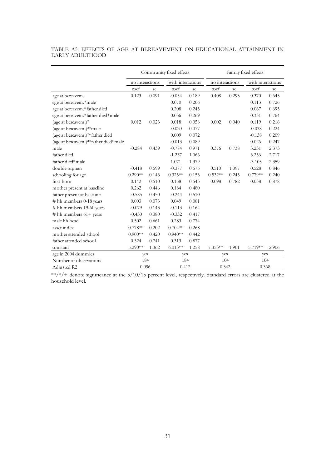#### TABLE A5: EFFECTS OF AGE AT BEREAVEMENT ON EDUCATIONAL ATTAINMENT IN EARLY ADULTHOOD

|                                                   | Community fixed effects |       |                   |       | Family fixed effects |       |                        |       |
|---------------------------------------------------|-------------------------|-------|-------------------|-------|----------------------|-------|------------------------|-------|
|                                                   | no interactions         |       | with interactions |       | no interactions      |       | with interactions      |       |
|                                                   | coef                    | se    | <sub>c</sub> ocf  | se    | coef                 | se    | $\operatorname{coeff}$ | se    |
| age at bereavem.                                  | 0.123                   | 0.091 | $-0.054$          | 0.189 | 0.408                | 0.293 | 0.370                  | 0.645 |
| age at bereavem.*male                             |                         |       | 0.070             | 0.206 |                      |       | 0.113                  | 0.726 |
| age at bereavem.*father died                      |                         |       | 0.208             | 0.245 |                      |       | 0.067                  | 0.695 |
| age at bereavem.*father died*male                 |                         |       | 0.036             | 0.269 |                      |       | 0.331                  | 0.764 |
| (age at bereavem.) <sup>2</sup>                   | 0.012                   | 0.023 | 0.018             | 0.058 | 0.002                | 0.040 | 0.119                  | 0.216 |
| (age at bereavem.) <sup>2*</sup> male             |                         |       | $-0.020$          | 0.077 |                      |       | $-0.038$               | 0.224 |
| (age at bereavem.) <sup>2*</sup> father died      |                         |       | 0.009             | 0.072 |                      |       | $-0.138$               | 0.209 |
| (age at bereavem.) <sup>2*</sup> father died*male |                         |       | $-0.013$          | 0.089 |                      |       | 0.026                  | 0.247 |
| male                                              | $-0.284$                | 0.439 | $-0.774$          | 0.971 | 0.376                | 0.738 | 3.231                  | 2.373 |
| father died                                       |                         |       | $-1.237$          | 1.066 |                      |       | 3.256                  | 2.717 |
| father died*male                                  |                         |       | 1.071             | 1.379 |                      |       | $-3.105$               | 2.359 |
| double orphan                                     | $-0.418$                | 0.599 | $-0.377$          | 0.575 | 0.510                | 1.097 | 0.528                  | 0.846 |
| schooling for age                                 | $0.290**$               | 0.143 | $0.325**$         | 0.153 | $0.532**$            | 0.245 | $0.779**$              | 0.240 |
| first-born                                        | 0.142                   | 0.510 | 0.158             | 0.543 | 0.098                | 0.782 | 0.038                  | 0.878 |
| mother present at baseline                        | 0.262                   | 0.446 | 0.184             | 0.480 |                      |       |                        |       |
| father present at baseline                        | $-0.585$                | 0.450 | $-0.244$          | 0.510 |                      |       |                        |       |
| # hh members $0-18$ years                         | 0.003                   | 0.073 | 0.049             | 0.081 |                      |       |                        |       |
| # hh members 19-60 years                          | $-0.079$                | 0.143 | $-0.113$          | 0.164 |                      |       |                        |       |
| # hh members 61+ years                            | $-0.430$                | 0.380 | $-0.332$          | 0.417 |                      |       |                        |       |
| male hh head                                      | 0.502                   | 0.661 | 0.283             | 0.774 |                      |       |                        |       |
| asset index                                       | $0.778**$               | 0.202 | $0.704**$         | 0.268 |                      |       |                        |       |
| mother attended school                            | $0.900**$               | 0.420 | $0.940**$         | 0.442 |                      |       |                        |       |
| father attended school                            | 0.324                   | 0.741 | 0.313             | 0.877 |                      |       |                        |       |
| constant                                          | 5.290**                 | 1.362 | $6.013**$         | 1.258 | $7.353**$            | 1.901 | 5.719**                | 2.906 |
| age in 2004 dummies                               | yes                     |       | yes               |       | yes                  |       | yes                    |       |
| Number of observations                            | 184                     |       | 184               |       | 104                  |       | 104                    |       |
| Adjusted R2                                       | 0.096                   |       | 0.412             |       | 0.342                |       | 0.368                  |       |

 $*$ /\*/+ denote significance at the 5/10/15 percent level, respectively. Standard errors are clustered at the household level.